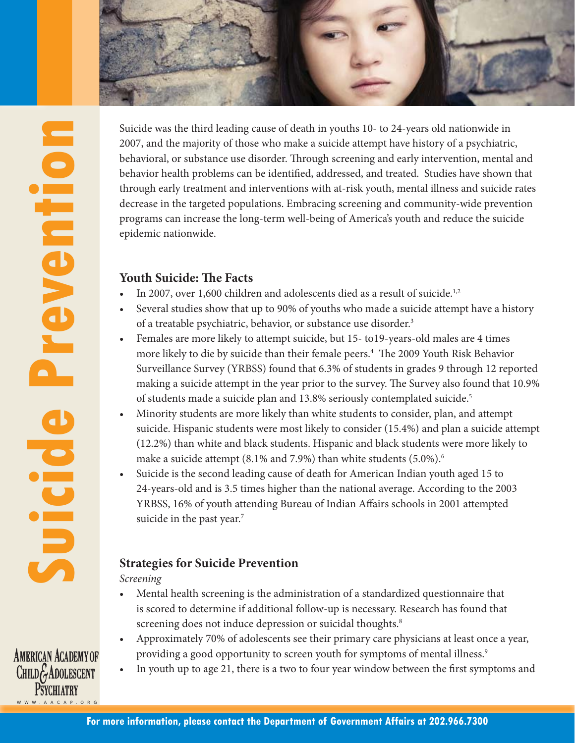

Suite Book with this charge of death in youths 10- to 24-years old nationwide to be<br>a control of the system of the case of death in the system of the system of the system of the system of the system, mean in<br>the preventio 2007, and the majority of those who make a suicide attempt have history of a psychiatric, behavioral, or substance use disorder. Through screening and early intervention, mental and behavior health problems can be identified, addressed, and treated. Studies have shown that through early treatment and interventions with at-risk youth, mental illness and suicide rates decrease in the targeted populations. Embracing screening and community-wide prevention programs can increase the long-term well-being of America's youth and reduce the suicide epidemic nationwide.

## **Youth Suicide: The Facts**

- In 2007, over 1,600 children and adolescents died as a result of suicide.<sup>1,2</sup>
- Several studies show that up to 90% of youths who made a suicide attempt have a history of a treatable psychiatric, behavior, or substance use disorder.<sup>3</sup>
- Females are more likely to attempt suicide, but 15- to19-years-old males are 4 times more likely to die by suicide than their female peers.<sup>4</sup> The 2009 Youth Risk Behavior Surveillance Survey (YRBSS) found that 6.3% of students in grades 9 through 12 reported making a suicide attempt in the year prior to the survey. The Survey also found that 10.9% of students made a suicide plan and 13.8% seriously contemplated suicide.5
- Minority students are more likely than white students to consider, plan, and attempt suicide. Hispanic students were most likely to consider (15.4%) and plan a suicide attempt (12.2%) than white and black students. Hispanic and black students were more likely to make a suicide attempt (8.1% and 7.9%) than white students (5.0%).<sup>6</sup>
- Suicide is the second leading cause of death for American Indian youth aged 15 to 24-years-old and is 3.5 times higher than the national average. According to the 2003 YRBSS, 16% of youth attending Bureau of Indian Affairs schools in 2001 attempted suicide in the past year.<sup>7</sup>

## **Strategies for Suicide Prevention**

*Screening*

- Mental health screening is the administration of a standardized questionnaire that is scored to determine if additional follow-up is necessary. Research has found that screening does not induce depression or suicidal thoughts.<sup>8</sup>
- Approximately 70% of adolescents see their primary care physicians at least once a year, providing a good opportunity to screen youth for symptoms of mental illness.<sup>9</sup>
- In youth up to age 21, there is a two to four year window between the first symptoms and